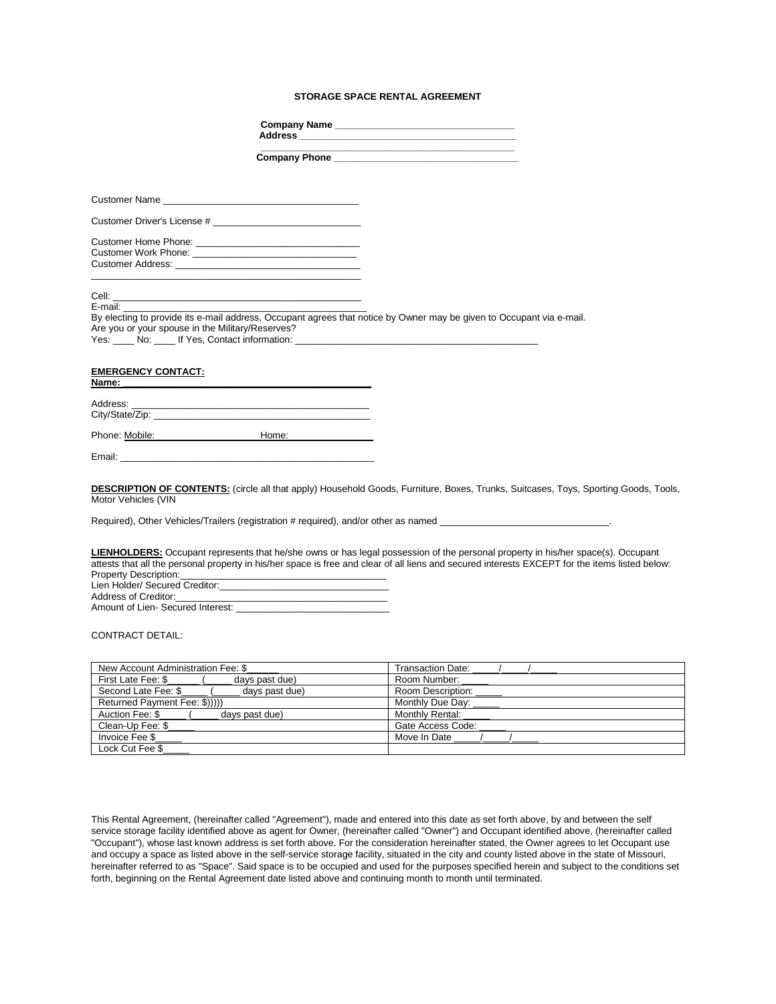## **STORAGE SPACE RENTAL AGREEMENT**

|                                                                                                                                                                                                                                                             | Company Name                                                                                                                                                                                                                                                                        |
|-------------------------------------------------------------------------------------------------------------------------------------------------------------------------------------------------------------------------------------------------------------|-------------------------------------------------------------------------------------------------------------------------------------------------------------------------------------------------------------------------------------------------------------------------------------|
|                                                                                                                                                                                                                                                             | the control of the control of the control of the control of the control of the control of                                                                                                                                                                                           |
|                                                                                                                                                                                                                                                             |                                                                                                                                                                                                                                                                                     |
|                                                                                                                                                                                                                                                             |                                                                                                                                                                                                                                                                                     |
|                                                                                                                                                                                                                                                             |                                                                                                                                                                                                                                                                                     |
|                                                                                                                                                                                                                                                             |                                                                                                                                                                                                                                                                                     |
| <b>Customer Address: Customer Address:</b>                                                                                                                                                                                                                  |                                                                                                                                                                                                                                                                                     |
| E-mail: E-mail:<br>Are you or your spouse in the Military/Reserves?                                                                                                                                                                                         | By electing to provide its e-mail address, Occupant agrees that notice by Owner may be given to Occupant via e-mail.                                                                                                                                                                |
| <b>EMERGENCY CONTACT:</b><br>Name: when the contract of the contract of the contract of the contract of the contract of the contract of the contract of the contract of the contract of the contract of the contract of the contract of the contract of the |                                                                                                                                                                                                                                                                                     |
|                                                                                                                                                                                                                                                             |                                                                                                                                                                                                                                                                                     |
| Phone: Mobile: Mobile: Mome: Mome: Mome: Mobile: Mome: Mobile: Mome: Mome: Mome: Mome: Mome: Mome: Mome: Mome: Mome: Mome: Mome: Mome: Mome: Mome: Mome: Mome: Mome: Mome: Mome: Mome: Mome: Mome: Mome: Mome: Mome: Mome: Mom                              |                                                                                                                                                                                                                                                                                     |
| Email: <b>Email: Email: Example 2004</b>                                                                                                                                                                                                                    |                                                                                                                                                                                                                                                                                     |
| Motor Vehicles (VIN                                                                                                                                                                                                                                         | <b>DESCRIPTION OF CONTENTS:</b> (circle all that apply) Household Goods, Furniture, Boxes, Trunks, Suitcases, Toys, Sporting Goods, Tools,<br>Required), Other Vehicles/Trailers (registration # required), and/or other as named                                                   |
| <b>Property Description:</b> The contract of the contract of the contract of the contract of the contract of the contract of the contract of the contract of the contract of the contract of the contract of the contract of the co                         | LIENHOLDERS: Occupant represents that he/she owns or has legal possession of the personal property in his/her space(s). Occupant<br>attests that all the personal property in his/her space is free and clear of all liens and secured interests EXCEPT for the items listed below: |

# CONTRACT DETAIL:

| New Account Administration Fee: \$    | <b>Transaction Date:</b> |  |  |
|---------------------------------------|--------------------------|--|--|
| First Late Fee: \$<br>days past due)  | Room Number:             |  |  |
| Second Late Fee: \$<br>days past due) | Room Description:        |  |  |
| Returned Payment Fee: \$)))))         | Monthly Due Day:         |  |  |
| Auction Fee: \$<br>days past due)     | Monthly Rental:          |  |  |
| Clean-Up Fee: \$                      | Gate Access Code:        |  |  |
| Invoice Fee \$                        | Move In Date             |  |  |
| Lock Cut Fee \$                       |                          |  |  |

This Rental Agreement, (hereinafter called "Agreement"), made and entered into this date as set forth above, by and between the self service storage facility identified above as agent for Owner, (hereinafter called "Owner") and Occupant identified above, (hereinafter called "Occupant"), whose last known address is set forth above. For the consideration hereinafter stated, the Owner agrees to let Occupant use and occupy a space as listed above in the self-service storage facility, situated in the city and county listed above in the state of Missouri, hereinafter referred to as "Space". Said space is to be occupied and used for the purposes specified herein and subject to the conditions set forth, beginning on the Rental Agreement date listed above and continuing month to month until terminated.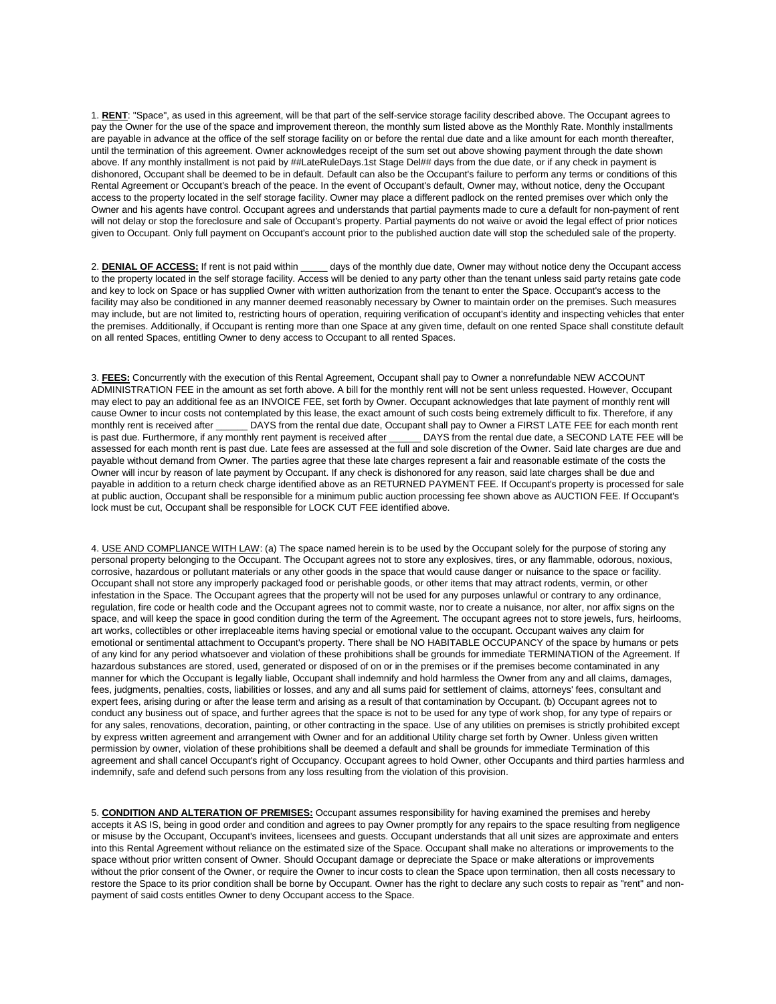1. **RENT**: "Space", as used in this agreement, will be that part of the self-service storage facility described above. The Occupant agrees to pay the Owner for the use of the space and improvement thereon, the monthly sum listed above as the Monthly Rate. Monthly installments are payable in advance at the office of the self storage facility on or before the rental due date and a like amount for each month thereafter, until the termination of this agreement. Owner acknowledges receipt of the sum set out above showing payment through the date shown above. If any monthly installment is not paid by ##LateRuleDays.1st Stage Del## days from the due date, or if any check in payment is dishonored, Occupant shall be deemed to be in default. Default can also be the Occupant's failure to perform any terms or conditions of this Rental Agreement or Occupant's breach of the peace. In the event of Occupant's default, Owner may, without notice, deny the Occupant access to the property located in the self storage facility. Owner may place a different padlock on the rented premises over which only the Owner and his agents have control. Occupant agrees and understands that partial payments made to cure a default for non-payment of rent will not delay or stop the foreclosure and sale of Occupant's property. Partial payments do not waive or avoid the legal effect of prior notices given to Occupant. Only full payment on Occupant's account prior to the published auction date will stop the scheduled sale of the property.

2. DENIAL OF ACCESS: If rent is not paid within \_\_\_\_\_ days of the monthly due date, Owner may without notice deny the Occupant access to the property located in the self storage facility. Access will be denied to any party other than the tenant unless said party retains gate code and key to lock on Space or has supplied Owner with written authorization from the tenant to enter the Space. Occupant's access to the facility may also be conditioned in any manner deemed reasonably necessary by Owner to maintain order on the premises. Such measures may include, but are not limited to, restricting hours of operation, requiring verification of occupant's identity and inspecting vehicles that enter the premises. Additionally, if Occupant is renting more than one Space at any given time, default on one rented Space shall constitute default on all rented Spaces, entitling Owner to deny access to Occupant to all rented Spaces.

3. **FEES:** Concurrently with the execution of this Rental Agreement, Occupant shall pay to Owner a nonrefundable NEW ACCOUNT ADMINISTRATION FEE in the amount as set forth above. A bill for the monthly rent will not be sent unless requested. However, Occupant may elect to pay an additional fee as an INVOICE FEE, set forth by Owner. Occupant acknowledges that late payment of monthly rent will cause Owner to incur costs not contemplated by this lease, the exact amount of such costs being extremely difficult to fix. Therefore, if any monthly rent is received after \_\_\_\_\_\_ DAYS from the rental due date, Occupant shall pay to Owner a FIRST LATE FEE for each month rent is past due. Furthermore, if any monthly rent payment is received after \_\_\_\_\_\_ DAYS from the rental due date, a SECOND LATE FEE will be assessed for each month rent is past due. Late fees are assessed at the full and sole discretion of the Owner. Said late charges are due and payable without demand from Owner. The parties agree that these late charges represent a fair and reasonable estimate of the costs the Owner will incur by reason of late payment by Occupant. If any check is dishonored for any reason, said late charges shall be due and payable in addition to a return check charge identified above as an RETURNED PAYMENT FEE. If Occupant's property is processed for sale at public auction, Occupant shall be responsible for a minimum public auction processing fee shown above as AUCTION FEE. If Occupant's lock must be cut, Occupant shall be responsible for LOCK CUT FEE identified above.

4. USE AND COMPLIANCE WITH LAW: (a) The space named herein is to be used by the Occupant solely for the purpose of storing any personal property belonging to the Occupant. The Occupant agrees not to store any explosives, tires, or any flammable, odorous, noxious, corrosive, hazardous or pollutant materials or any other goods in the space that would cause danger or nuisance to the space or facility. Occupant shall not store any improperly packaged food or perishable goods, or other items that may attract rodents, vermin, or other infestation in the Space. The Occupant agrees that the property will not be used for any purposes unlawful or contrary to any ordinance, regulation, fire code or health code and the Occupant agrees not to commit waste, nor to create a nuisance, nor alter, nor affix signs on the space, and will keep the space in good condition during the term of the Agreement. The occupant agrees not to store jewels, furs, heirlooms, art works, collectibles or other irreplaceable items having special or emotional value to the occupant. Occupant waives any claim for emotional or sentimental attachment to Occupant's property. There shall be NO HABITABLE OCCUPANCY of the space by humans or pets of any kind for any period whatsoever and violation of these prohibitions shall be grounds for immediate TERMINATION of the Agreement. If hazardous substances are stored, used, generated or disposed of on or in the premises or if the premises become contaminated in any manner for which the Occupant is legally liable, Occupant shall indemnify and hold harmless the Owner from any and all claims, damages, fees, judgments, penalties, costs, liabilities or losses, and any and all sums paid for settlement of claims, attorneys' fees, consultant and expert fees, arising during or after the lease term and arising as a result of that contamination by Occupant. (b) Occupant agrees not to conduct any business out of space, and further agrees that the space is not to be used for any type of work shop, for any type of repairs or for any sales, renovations, decoration, painting, or other contracting in the space. Use of any utilities on premises is strictly prohibited except by express written agreement and arrangement with Owner and for an additional Utility charge set forth by Owner. Unless given written permission by owner, violation of these prohibitions shall be deemed a default and shall be grounds for immediate Termination of this agreement and shall cancel Occupant's right of Occupancy. Occupant agrees to hold Owner, other Occupants and third parties harmless and indemnify, safe and defend such persons from any loss resulting from the violation of this provision.

5. **CONDITION AND ALTERATION OF PREMISES:** Occupant assumes responsibility for having examined the premises and hereby accepts it AS IS, being in good order and condition and agrees to pay Owner promptly for any repairs to the space resulting from negligence or misuse by the Occupant, Occupant's invitees, licensees and guests. Occupant understands that all unit sizes are approximate and enters into this Rental Agreement without reliance on the estimated size of the Space. Occupant shall make no alterations or improvements to the space without prior written consent of Owner. Should Occupant damage or depreciate the Space or make alterations or improvements without the prior consent of the Owner, or require the Owner to incur costs to clean the Space upon termination, then all costs necessary to restore the Space to its prior condition shall be borne by Occupant. Owner has the right to declare any such costs to repair as "rent" and nonpayment of said costs entitles Owner to deny Occupant access to the Space.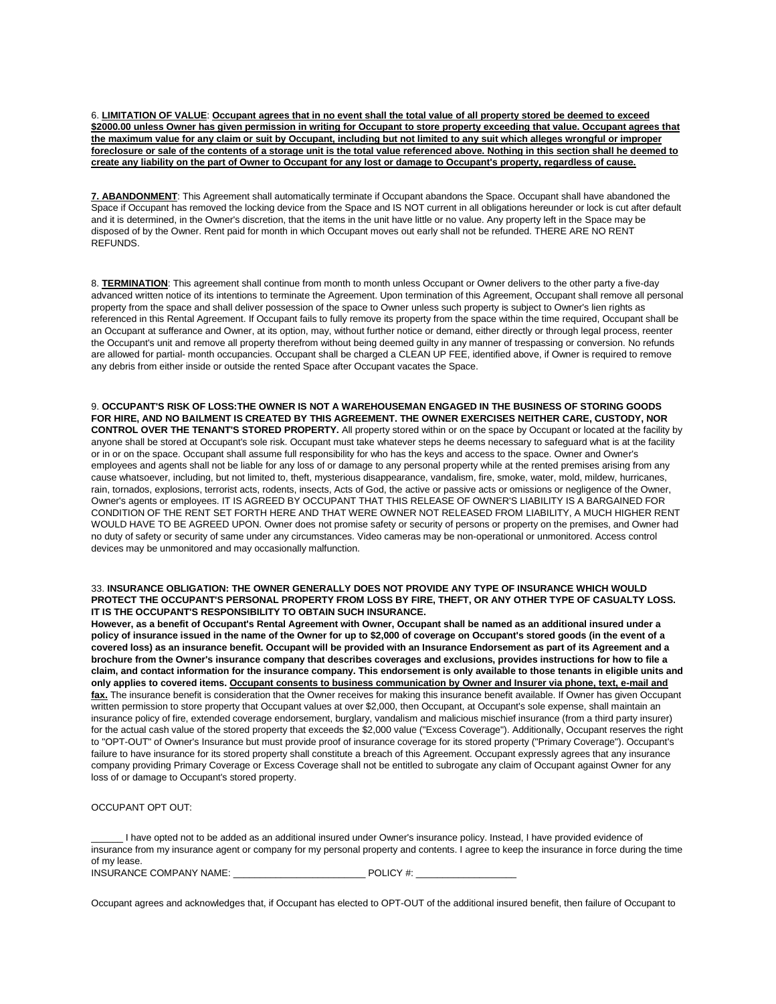6. **LIMITATION OF VALUE**: **Occupant agrees that in no event shall the total value of all property stored be deemed to exceed \$2000.00 unless Owner has given permission in writing for Occupant to store property exceeding that value. Occupant agrees that the maximum value for any claim or suit by Occupant, including but not limited to any suit which alleges wrongful or improper foreclosure or sale of the contents of a storage unit is the total value referenced above. Nothing in this section shall he deemed to create any liability on the part of Owner to Occupant for any lost or damage to Occupant's property, regardless of cause.**

**7. ABANDONMENT**: This Agreement shall automatically terminate if Occupant abandons the Space. Occupant shall have abandoned the Space if Occupant has removed the locking device from the Space and IS NOT current in all obligations hereunder or lock is cut after default and it is determined, in the Owner's discretion, that the items in the unit have little or no value. Any property left in the Space may be disposed of by the Owner. Rent paid for month in which Occupant moves out early shall not be refunded. THERE ARE NO RENT REFUNDS.

8. **TERMINATION**: This agreement shall continue from month to month unless Occupant or Owner delivers to the other party a five-day advanced written notice of its intentions to terminate the Agreement. Upon termination of this Agreement, Occupant shall remove all personal property from the space and shall deliver possession of the space to Owner unless such property is subject to Owner's lien rights as referenced in this Rental Agreement. If Occupant fails to fully remove its property from the space within the time required, Occupant shall be an Occupant at sufferance and Owner, at its option, may, without further notice or demand, either directly or through legal process, reenter the Occupant's unit and remove all property therefrom without being deemed guilty in any manner of trespassing or conversion. No refunds are allowed for partial- month occupancies. Occupant shall be charged a CLEAN UP FEE, identified above, if Owner is required to remove any debris from either inside or outside the rented Space after Occupant vacates the Space.

9. **OCCUPANT'S RISK OF LOSS:THE OWNER IS NOT A WAREHOUSEMAN ENGAGED IN THE BUSINESS OF STORING GOODS FOR HIRE, AND NO BAILMENT IS CREATED BY THIS AGREEMENT. THE OWNER EXERCISES NEITHER CARE, CUSTODY, NOR CONTROL OVER THE TENANT'S STORED PROPERTY.** All property stored within or on the space by Occupant or located at the facility by anyone shall be stored at Occupant's sole risk. Occupant must take whatever steps he deems necessary to safeguard what is at the facility or in or on the space. Occupant shall assume full responsibility for who has the keys and access to the space. Owner and Owner's employees and agents shall not be liable for any loss of or damage to any personal property while at the rented premises arising from any cause whatsoever, including, but not limited to, theft, mysterious disappearance, vandalism, fire, smoke, water, mold, mildew, hurricanes, rain, tornados, explosions, terrorist acts, rodents, insects, Acts of God, the active or passive acts or omissions or negligence of the Owner, Owner's agents or employees. IT IS AGREED BY OCCUPANT THAT THIS RELEASE OF OWNER'S LIABILITY IS A BARGAINED FOR CONDITION OF THE RENT SET FORTH HERE AND THAT WERE OWNER NOT RELEASED FROM LIABILITY, A MUCH HIGHER RENT WOULD HAVE TO BE AGREED UPON. Owner does not promise safety or security of persons or property on the premises, and Owner had no duty of safety or security of same under any circumstances. Video cameras may be non-operational or unmonitored. Access control devices may be unmonitored and may occasionally malfunction.

#### 33. **INSURANCE OBLIGATION: THE OWNER GENERALLY DOES NOT PROVIDE ANY TYPE OF INSURANCE WHICH WOULD PROTECT THE OCCUPANT'S PERSONAL PROPERTY FROM LOSS BY FIRE, THEFT, OR ANY OTHER TYPE OF CASUALTY LOSS. IT IS THE OCCUPANT'S RESPONSIBILITY TO OBTAIN SUCH INSURANCE.**

**However, as a benefit of Occupant's Rental Agreement with Owner, Occupant shall be named as an additional insured under a policy of insurance issued in the name of the Owner for up to \$2,000 of coverage on Occupant's stored goods (in the event of a covered loss) as an insurance benefit. Occupant will be provided with an Insurance Endorsement as part of its Agreement and a brochure from the Owner's insurance company that describes coverages and exclusions, provides instructions for how to file a claim, and contact information for the insurance company. This endorsement is only available to those tenants in eligible units and only applies to covered items. Occupant consents to business communication by Owner and Insurer via phone, text, e-mail and fax.** The insurance benefit is consideration that the Owner receives for making this insurance benefit available. If Owner has given Occupant written permission to store property that Occupant values at over \$2,000, then Occupant, at Occupant's sole expense, shall maintain an insurance policy of fire, extended coverage endorsement, burglary, vandalism and malicious mischief insurance (from a third party insurer) for the actual cash value of the stored property that exceeds the \$2,000 value ("Excess Coverage"). Additionally, Occupant reserves the right to "OPT-OUT" of Owner's Insurance but must provide proof of insurance coverage for its stored property ("Primary Coverage"). Occupant's failure to have insurance for its stored property shall constitute a breach of this Agreement. Occupant expressly agrees that any insurance company providing Primary Coverage or Excess Coverage shall not be entitled to subrogate any claim of Occupant against Owner for any loss of or damage to Occupant's stored property.

# OCCUPANT OPT OUT:

\_\_\_\_\_\_ I have opted not to be added as an additional insured under Owner's insurance policy. Instead, I have provided evidence of insurance from my insurance agent or company for my personal property and contents. I agree to keep the insurance in force during the time of my lease.

INSURANCE COMPANY NAME: \_\_\_\_\_\_\_\_\_\_\_\_\_\_\_\_\_\_\_\_\_\_\_\_\_ POLICY #: \_\_\_\_\_\_\_\_\_\_\_\_\_\_\_\_\_\_\_

Occupant agrees and acknowledges that, if Occupant has elected to OPT-OUT of the additional insured benefit, then failure of Occupant to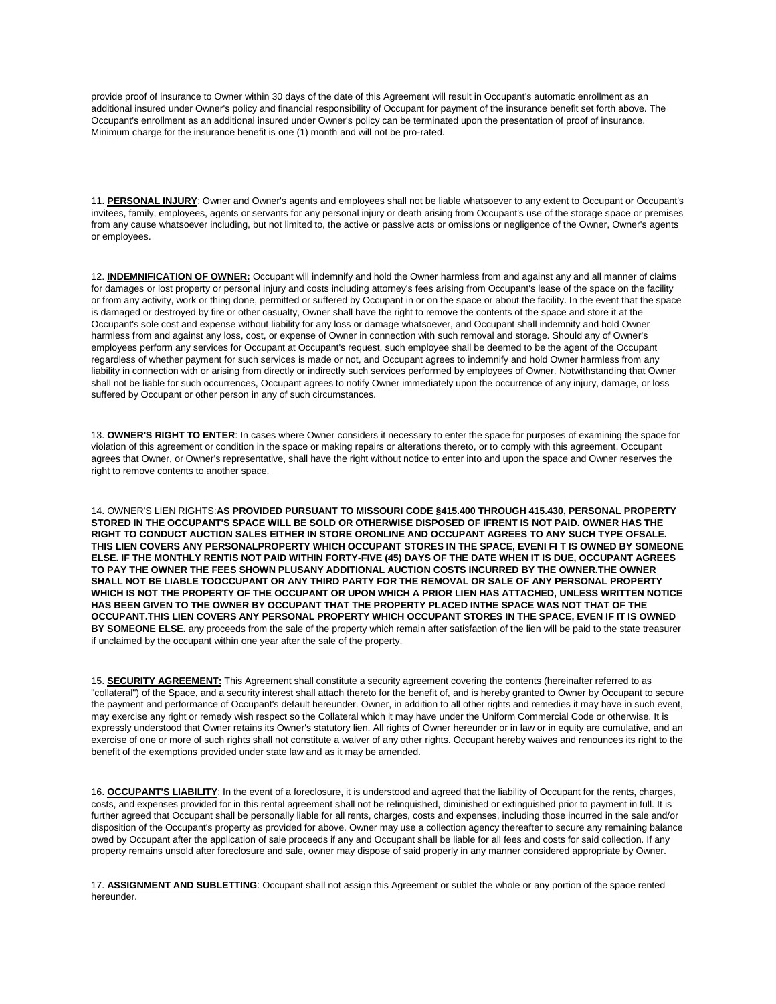provide proof of insurance to Owner within 30 days of the date of this Agreement will result in Occupant's automatic enrollment as an additional insured under Owner's policy and financial responsibility of Occupant for payment of the insurance benefit set forth above. The Occupant's enrollment as an additional insured under Owner's policy can be terminated upon the presentation of proof of insurance. Minimum charge for the insurance benefit is one (1) month and will not be pro-rated.

11. **PERSONAL INJURY**: Owner and Owner's agents and employees shall not be liable whatsoever to any extent to Occupant or Occupant's invitees, family, employees, agents or servants for any personal injury or death arising from Occupant's use of the storage space or premises from any cause whatsoever including, but not limited to, the active or passive acts or omissions or negligence of the Owner, Owner's agents or employees.

12. **INDEMNIFICATION OF OWNER:** Occupant will indemnify and hold the Owner harmless from and against any and all manner of claims for damages or lost property or personal injury and costs including attorney's fees arising from Occupant's lease of the space on the facility or from any activity, work or thing done, permitted or suffered by Occupant in or on the space or about the facility. In the event that the space is damaged or destroyed by fire or other casualty, Owner shall have the right to remove the contents of the space and store it at the Occupant's sole cost and expense without liability for any loss or damage whatsoever, and Occupant shall indemnify and hold Owner harmless from and against any loss, cost, or expense of Owner in connection with such removal and storage. Should any of Owner's employees perform any services for Occupant at Occupant's request, such employee shall be deemed to be the agent of the Occupant regardless of whether payment for such services is made or not, and Occupant agrees to indemnify and hold Owner harmless from any liability in connection with or arising from directly or indirectly such services performed by employees of Owner. Notwithstanding that Owner shall not be liable for such occurrences, Occupant agrees to notify Owner immediately upon the occurrence of any injury, damage, or loss suffered by Occupant or other person in any of such circumstances.

13. **OWNER'S RIGHT TO ENTER**: In cases where Owner considers it necessary to enter the space for purposes of examining the space for violation of this agreement or condition in the space or making repairs or alterations thereto, or to comply with this agreement, Occupant agrees that Owner, or Owner's representative, shall have the right without notice to enter into and upon the space and Owner reserves the right to remove contents to another space.

14. OWNER'S LIEN RIGHTS:**AS PROVIDED PURSUANT TO MISSOURI CODE §415.400 THROUGH 415.430, PERSONAL PROPERTY STORED IN THE OCCUPANT'S SPACE WILL BE SOLD OR OTHERWISE DISPOSED OF IFRENT IS NOT PAID. OWNER HAS THE RIGHT TO CONDUCT AUCTION SALES EITHER IN STORE ORONLINE AND OCCUPANT AGREES TO ANY SUCH TYPE OFSALE. THIS LIEN COVERS ANY PERSONALPROPERTY WHICH OCCUPANT STORES IN THE SPACE, EVENI FI T IS OWNED BY SOMEONE ELSE. IF THE MONTHLY RENTIS NOT PAID WITHIN FORTY-FIVE (45) DAYS OF THE DATE WHEN IT IS DUE, OCCUPANT AGREES TO PAY THE OWNER THE FEES SHOWN PLUSANY ADDITIONAL AUCTION COSTS INCURRED BY THE OWNER.THE OWNER SHALL NOT BE LIABLE TOOCCUPANT OR ANY THIRD PARTY FOR THE REMOVAL OR SALE OF ANY PERSONAL PROPERTY WHICH IS NOT THE PROPERTY OF THE OCCUPANT OR UPON WHICH A PRIOR LIEN HAS ATTACHED, UNLESS WRITTEN NOTICE HAS BEEN GIVEN TO THE OWNER BY OCCUPANT THAT THE PROPERTY PLACED INTHE SPACE WAS NOT THAT OF THE OCCUPANT.THIS LIEN COVERS ANY PERSONAL PROPERTY WHICH OCCUPANT STORES IN THE SPACE, EVEN IF IT IS OWNED BY SOMEONE ELSE.** any proceeds from the sale of the property which remain after satisfaction of the lien will be paid to the state treasurer if unclaimed by the occupant within one year after the sale of the property.

15. **SECURITY AGREEMENT:** This Agreement shall constitute a security agreement covering the contents (hereinafter referred to as "collateral") of the Space, and a security interest shall attach thereto for the benefit of, and is hereby granted to Owner by Occupant to secure the payment and performance of Occupant's default hereunder. Owner, in addition to all other rights and remedies it may have in such event, may exercise any right or remedy wish respect so the Collateral which it may have under the Uniform Commercial Code or otherwise. It is expressly understood that Owner retains its Owner's statutory lien. All rights of Owner hereunder or in law or in equity are cumulative, and an exercise of one or more of such rights shall not constitute a waiver of any other rights. Occupant hereby waives and renounces its right to the benefit of the exemptions provided under state law and as it may be amended.

16. **OCCUPANT'S LIABILITY**: In the event of a foreclosure, it is understood and agreed that the liability of Occupant for the rents, charges, costs, and expenses provided for in this rental agreement shall not be relinquished, diminished or extinguished prior to payment in full. It is further agreed that Occupant shall be personally liable for all rents, charges, costs and expenses, including those incurred in the sale and/or disposition of the Occupant's property as provided for above. Owner may use a collection agency thereafter to secure any remaining balance owed by Occupant after the application of sale proceeds if any and Occupant shall be liable for all fees and costs for said collection. If any property remains unsold after foreclosure and sale, owner may dispose of said properly in any manner considered appropriate by Owner.

17. **ASSIGNMENT AND SUBLETTING**: Occupant shall not assign this Agreement or sublet the whole or any portion of the space rented hereunder.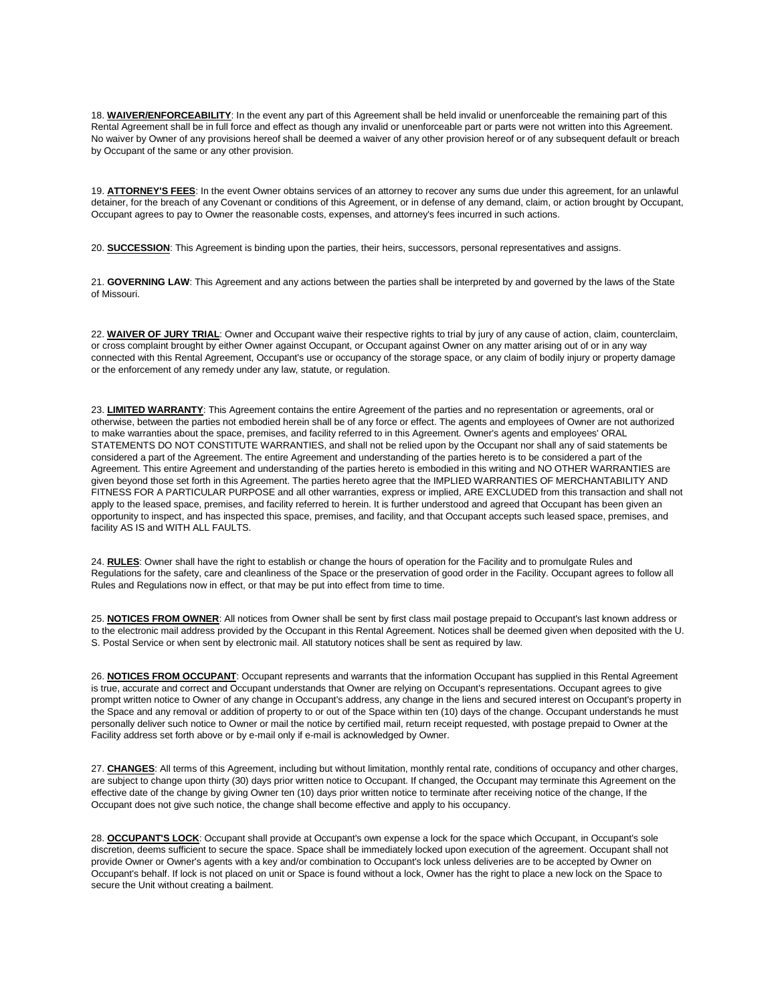18. **WAIVER/ENFORCEABILITY**: In the event any part of this Agreement shall be held invalid or unenforceable the remaining part of this Rental Agreement shall be in full force and effect as though any invalid or unenforceable part or parts were not written into this Agreement. No waiver by Owner of any provisions hereof shall be deemed a waiver of any other provision hereof or of any subsequent default or breach by Occupant of the same or any other provision.

19. **ATTORNEY'S FEES**: In the event Owner obtains services of an attorney to recover any sums due under this agreement, for an unlawful detainer, for the breach of any Covenant or conditions of this Agreement, or in defense of any demand, claim, or action brought by Occupant, Occupant agrees to pay to Owner the reasonable costs, expenses, and attorney's fees incurred in such actions.

20. **SUCCESSION**: This Agreement is binding upon the parties, their heirs, successors, personal representatives and assigns.

21. **GOVERNING LAW**: This Agreement and any actions between the parties shall be interpreted by and governed by the laws of the State of Missouri.

22. WAIVER OF JURY TRIAL: Owner and Occupant waive their respective rights to trial by jury of any cause of action, claim, counterclaim, or cross complaint brought by either Owner against Occupant, or Occupant against Owner on any matter arising out of or in any way connected with this Rental Agreement, Occupant's use or occupancy of the storage space, or any claim of bodily injury or property damage or the enforcement of any remedy under any law, statute, or regulation.

23. LIMITED WARRANTY: This Agreement contains the entire Agreement of the parties and no representation or agreements, oral or otherwise, between the parties not embodied herein shall be of any force or effect. The agents and employees of Owner are not authorized to make warranties about the space, premises, and facility referred to in this Agreement. Owner's agents and employees' ORAL STATEMENTS DO NOT CONSTITUTE WARRANTIES, and shall not be relied upon by the Occupant nor shall any of said statements be considered a part of the Agreement. The entire Agreement and understanding of the parties hereto is to be considered a part of the Agreement. This entire Agreement and understanding of the parties hereto is embodied in this writing and NO OTHER WARRANTIES are given beyond those set forth in this Agreement. The parties hereto agree that the IMPLIED WARRANTIES OF MERCHANTABILITY AND FITNESS FOR A PARTICULAR PURPOSE and all other warranties, express or implied, ARE EXCLUDED from this transaction and shall not apply to the leased space, premises, and facility referred to herein. It is further understood and agreed that Occupant has been given an opportunity to inspect, and has inspected this space, premises, and facility, and that Occupant accepts such leased space, premises, and facility AS IS and WITH ALL FAULTS.

24. **RULES**: Owner shall have the right to establish or change the hours of operation for the Facility and to promulgate Rules and Regulations for the safety, care and cleanliness of the Space or the preservation of good order in the Facility. Occupant agrees to follow all Rules and Regulations now in effect, or that may be put into effect from time to time.

25. **NOTICES FROM OWNER**: All notices from Owner shall be sent by first class mail postage prepaid to Occupant's last known address or to the electronic mail address provided by the Occupant in this Rental Agreement. Notices shall be deemed given when deposited with the U. S. Postal Service or when sent by electronic mail. All statutory notices shall be sent as required by law.

26. **NOTICES FROM OCCUPANT**: Occupant represents and warrants that the information Occupant has supplied in this Rental Agreement is true, accurate and correct and Occupant understands that Owner are relying on Occupant's representations. Occupant agrees to give prompt written notice to Owner of any change in Occupant's address, any change in the liens and secured interest on Occupant's property in the Space and any removal or addition of property to or out of the Space within ten (10) days of the change. Occupant understands he must personally deliver such notice to Owner or mail the notice by certified mail, return receipt requested, with postage prepaid to Owner at the Facility address set forth above or by e-mail only if e-mail is acknowledged by Owner.

27. **CHANGES**: All terms of this Agreement, including but without limitation, monthly rental rate, conditions of occupancy and other charges, are subject to change upon thirty (30) days prior written notice to Occupant. If changed, the Occupant may terminate this Agreement on the effective date of the change by giving Owner ten (10) days prior written notice to terminate after receiving notice of the change, If the Occupant does not give such notice, the change shall become effective and apply to his occupancy.

28. **OCCUPANT'S LOCK**: Occupant shall provide at Occupant's own expense a lock for the space which Occupant, in Occupant's sole discretion, deems sufficient to secure the space. Space shall be immediately locked upon execution of the agreement. Occupant shall not provide Owner or Owner's agents with a key and/or combination to Occupant's lock unless deliveries are to be accepted by Owner on Occupant's behalf. If lock is not placed on unit or Space is found without a lock, Owner has the right to place a new lock on the Space to secure the Unit without creating a bailment.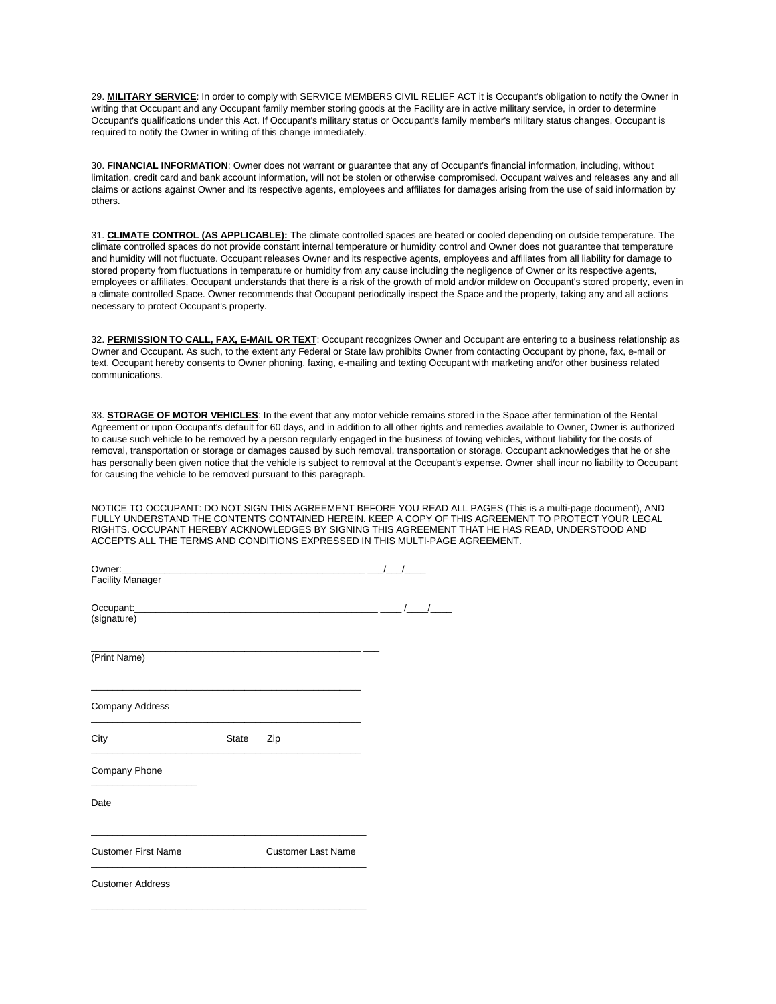29. MILITARY SERVICE: In order to comply with SERVICE MEMBERS CIVIL RELIEF ACT it is Occupant's obligation to notify the Owner in writing that Occupant and any Occupant family member storing goods at the Facility are in active military service, in order to determine Occupant's qualifications under this Act. If Occupant's military status or Occupant's family member's military status changes, Occupant is required to notify the Owner in writing of this change immediately.

30. **FINANCIAL INFORMATION**: Owner does not warrant or guarantee that any of Occupant's financial information, including, without limitation, credit card and bank account information, will not be stolen or otherwise compromised. Occupant waives and releases any and all claims or actions against Owner and its respective agents, employees and affiliates for damages arising from the use of said information by others.

31. **CLIMATE CONTROL (AS APPLICABLE):** The climate controlled spaces are heated or cooled depending on outside temperature. The climate controlled spaces do not provide constant internal temperature or humidity control and Owner does not guarantee that temperature and humidity will not fluctuate. Occupant releases Owner and its respective agents, employees and affiliates from all liability for damage to stored property from fluctuations in temperature or humidity from any cause including the negligence of Owner or its respective agents, employees or affiliates. Occupant understands that there is a risk of the growth of mold and/or mildew on Occupant's stored property, even in a climate controlled Space. Owner recommends that Occupant periodically inspect the Space and the property, taking any and all actions necessary to protect Occupant's property.

32. **PERMISSION TO CALL, FAX, E-MAIL OR TEXT**: Occupant recognizes Owner and Occupant are entering to a business relationship as Owner and Occupant. As such, to the extent any Federal or State law prohibits Owner from contacting Occupant by phone, fax, e-mail or text, Occupant hereby consents to Owner phoning, faxing, e-mailing and texting Occupant with marketing and/or other business related communications.

33. **STORAGE OF MOTOR VEHICLES**: In the event that any motor vehicle remains stored in the Space after termination of the Rental Agreement or upon Occupant's default for 60 days, and in addition to all other rights and remedies available to Owner, Owner is authorized to cause such vehicle to be removed by a person regularly engaged in the business of towing vehicles, without liability for the costs of removal, transportation or storage or damages caused by such removal, transportation or storage. Occupant acknowledges that he or she has personally been given notice that the vehicle is subject to removal at the Occupant's expense. Owner shall incur no liability to Occupant for causing the vehicle to be removed pursuant to this paragraph.

NOTICE TO OCCUPANT: DO NOT SIGN THIS AGREEMENT BEFORE YOU READ ALL PAGES (This is a multi-page document), AND FULLY UNDERSTAND THE CONTENTS CONTAINED HEREIN. KEEP A COPY OF THIS AGREEMENT TO PROTECT YOUR LEGAL RIGHTS. OCCUPANT HEREBY ACKNOWLEDGES BY SIGNING THIS AGREEMENT THAT HE HAS READ, UNDERSTOOD AND ACCEPTS ALL THE TERMS AND CONDITIONS EXPRESSED IN THIS MULTI-PAGE AGREEMENT.

| Owner:                     |              |                           |            |  |
|----------------------------|--------------|---------------------------|------------|--|
| <b>Facility Manager</b>    |              |                           |            |  |
|                            |              |                           | $\sqrt{ }$ |  |
| (signature)                |              |                           |            |  |
| (Print Name)               |              |                           |            |  |
| Company Address            |              |                           |            |  |
| City                       | <b>State</b> | Zip                       |            |  |
| Company Phone              |              |                           |            |  |
| Date                       |              |                           |            |  |
| <b>Customer First Name</b> |              | <b>Customer Last Name</b> |            |  |
| <b>Customer Address</b>    |              |                           |            |  |
|                            |              |                           |            |  |